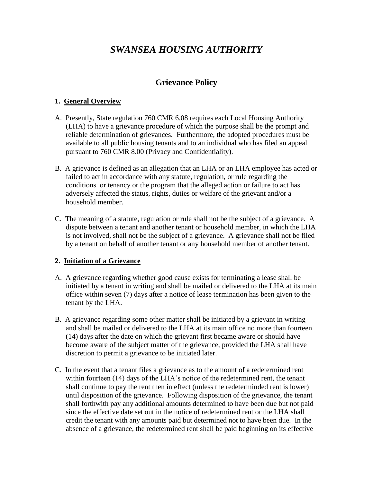# *SWANSEA HOUSING AUTHORITY*

# **Grievance Policy**

#### **1. General Overview**

- A. Presently, State regulation 760 CMR 6.08 requires each Local Housing Authority (LHA) to have a grievance procedure of which the purpose shall be the prompt and reliable determination of grievances. Furthermore, the adopted procedures must be available to all public housing tenants and to an individual who has filed an appeal pursuant to 760 CMR 8.00 (Privacy and Confidentiality).
- B. A grievance is defined as an allegation that an LHA or an LHA employee has acted or failed to act in accordance with any statute, regulation, or rule regarding the conditions or tenancy or the program that the alleged action or failure to act has adversely affected the status, rights, duties or welfare of the grievant and/or a household member.
- C. The meaning of a statute, regulation or rule shall not be the subject of a grievance. A dispute between a tenant and another tenant or household member, in which the LHA is not involved, shall not be the subject of a grievance. A grievance shall not be filed by a tenant on behalf of another tenant or any household member of another tenant.

# **2. Initiation of a Grievance**

- A. A grievance regarding whether good cause exists for terminating a lease shall be initiated by a tenant in writing and shall be mailed or delivered to the LHA at its main office within seven (7) days after a notice of lease termination has been given to the tenant by the LHA.
- B. A grievance regarding some other matter shall be initiated by a grievant in writing and shall be mailed or delivered to the LHA at its main office no more than fourteen (14) days after the date on which the grievant first became aware or should have become aware of the subject matter of the grievance, provided the LHA shall have discretion to permit a grievance to be initiated later.
- C. In the event that a tenant files a grievance as to the amount of a redetermined rent within fourteen (14) days of the LHA's notice of the redetermined rent, the tenant shall continue to pay the rent then in effect (unless the redeterminded rent is lower) until disposition of the grievance. Following disposition of the grievance, the tenant shall forthwith pay any additional amounts determined to have been due but not paid since the effective date set out in the notice of redetermined rent or the LHA shall credit the tenant with any amounts paid but determined not to have been due. In the absence of a grievance, the redetermined rent shall be paid beginning on its effective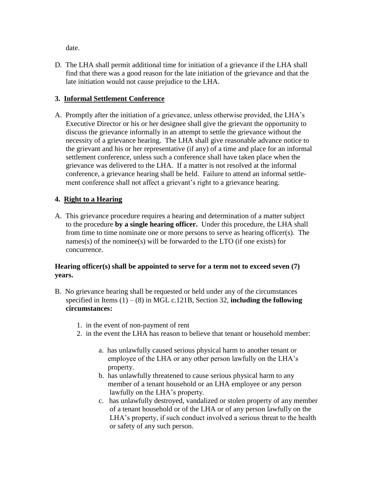date.

D. The LHA shall permit additional time for initiation of a grievance if the LHA shall find that there was a good reason for the late initiation of the grievance and that the late initiation would not cause prejudice to the LHA.

# **3. Informal Settlement Conference**

A. Promptly after the initiation of a grievance, unless otherwise provided, the LHA's Executive Director or his or her designee shall give the grievant the opportunity to discuss the grievance informally in an attempt to settle the grievance without the necessity of a grievance hearing. The LHA shall give reasonable advance notice to the grievant and his or her representative (if any) of a time and place for an informal settlement conference, unless such a conference shall have taken place when the grievance was delivered to the LHA. If a matter is not resolved at the informal conference, a grievance hearing shall be held. Failure to attend an informal settlement conference shall not affect a grievant's right to a grievance hearing.

#### **4. Right to a Hearing**

A. This grievance procedure requires a hearing and determination of a matter subject to the procedure **by a single hearing officer.** Under this procedure, the LHA shall from time to time nominate one or more persons to serve as hearing officer(s). The names(s) of the nominee(s) will be forwarded to the LTO (if one exists) for concurrence.

#### **Hearing officer(s) shall be appointed to serve for a term not to exceed seven (7) years.**

- B. No grievance hearing shall be requested or held under any of the circumstances specified in Items  $(1) - (8)$  in MGL c.121B, Section 32, **including the following circumstances:**
	- 1. in the event of non-payment of rent
	- 2. in the event the LHA has reason to believe that tenant or household member:
		- a. has unlawfully caused serious physical harm to another tenant or employee of the LHA or any other person lawfully on the LHA's property.
		- b. has unlawfully threatened to cause serious physical harm to any member of a tenant household or an LHA employee or any person lawfully on the LHA's property.
		- c. has unlawfully destroyed, vandalized or stolen property of any member of a tenant household or of the LHA or of any person lawfully on the LHA's property, if such conduct involved a serious threat to the health or safety of any such person.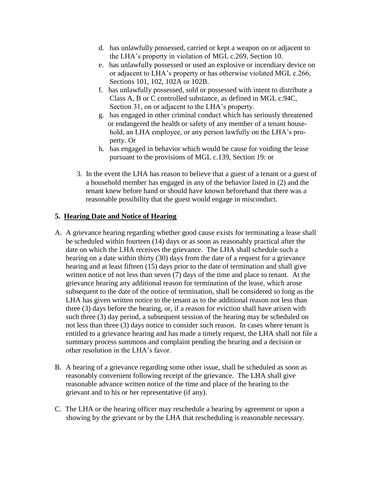- d. has unlawfully possessed, carried or kept a weapon on or adjacent to the LHA's property in violation of MGL c.269, Section 10.
- e. has unlawfully possessed or used an explosive or incendiary device on or adjacent to LHA's property or has otherwise violated MGL c.266, Sections 101, 102, 102A or 102B.
- f. has unlawfully possessed, sold or possessed with intent to distribute a Class A, B or C controlled substance, as defined in MGL c.94C, Section 31, on or adjacent to the LHA's property.
- g. has engaged in other criminal conduct which has seriously threatened or endangered the health or safety of any member of a tenant house hold, an LHA employee, or any person lawfully on the LHA's property. Or
- h. has engaged in behavior which would be cause for voiding the lease pursuant to the provisions of MGL c.139, Section 19: or
- 3. In the event the LHA has reason to believe that a guest of a tenant or a guest of a household member has engaged in any of the behavior listed in (2) and the tenant knew before hand or should have known beforehand that there was a reasonable possibility that the guest would engage in misconduct.

#### **5. Hearing Date and Notice of Hearing**

- A. A grievance hearing regarding whether good cause exists for terminating a lease shall be scheduled within fourteen (14) days or as soon as reasonably practical after the date on which the LHA receives the grievance. The LHA shall schedule such a hearing on a date within thirty (30) days from the date of a request for a grievance hearing and at least fifteen (15) days prior to the date of termination and shall give written notice of not less than seven (7) days of the time and place to tenant. At the grievance hearing any additional reason for termination of the lease, which arose subsequent to the date of the notice of termination, shall be considered so long as the LHA has given written notice to the tenant as to the additional reason not less than three (3) days before the hearing, or, if a reason for eviction shall have arisen with such three (3) day period, a subsequent session of the hearing may be scheduled on not less than three (3) days notice to consider such reason. In cases where tenant is entitled to a grievance hearing and has made a timely request, the LHA shall not file a summary process summons and complaint pending the hearing and a decision or other resolution in the LHA's favor.
- B. A hearing of a grievance regarding some other issue, shall be scheduled as soon as reasonably convenient following receipt of the grievance. The LHA shall give reasonable advance written notice of the time and place of the hearing to the grievant and to his or her representative (if any).
- C. The LHA or the hearing officer may reschedule a hearing by agreement or upon a showing by the grievant or by the LHA that rescheduling is reasonable necessary.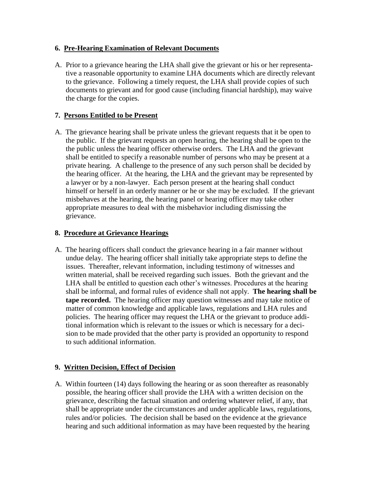#### **6. Pre-Hearing Examination of Relevant Documents**

A. Prior to a grievance hearing the LHA shall give the grievant or his or her representative a reasonable opportunity to examine LHA documents which are directly relevant to the grievance. Following a timely request, the LHA shall provide copies of such documents to grievant and for good cause (including financial hardship), may waive the charge for the copies.

# **7. Persons Entitled to be Present**

A. The grievance hearing shall be private unless the grievant requests that it be open to the public. If the grievant requests an open hearing, the hearing shall be open to the the public unless the hearing officer otherwise orders. The LHA and the grievant shall be entitled to specify a reasonable number of persons who may be present at a private hearing. A challenge to the presence of any such person shall be decided by the hearing officer. At the hearing, the LHA and the grievant may be represented by a lawyer or by a non-lawyer. Each person present at the hearing shall conduct himself or herself in an orderly manner or he or she may be excluded. If the grievant misbehaves at the hearing, the hearing panel or hearing officer may take other appropriate measures to deal with the misbehavior including dismissing the grievance.

#### **8. Procedure at Grievance Hearings**

A. The hearing officers shall conduct the grievance hearing in a fair manner without undue delay. The hearing officer shall initially take appropriate steps to define the issues. Thereafter, relevant information, including testimony of witnesses and written material, shall be received regarding such issues. Both the grievant and the LHA shall be entitled to question each other's witnesses. Procedures at the hearing shall be informal, and formal rules of evidence shall not apply. **The hearing shall be tape recorded.** The hearing officer may question witnesses and may take notice of matter of common knowledge and applicable laws, regulations and LHA rules and policies. The hearing officer may request the LHA or the grievant to produce additional information which is relevant to the issues or which is necessary for a decision to be made provided that the other party is provided an opportunity to respond to such additional information.

#### **9. Written Decision, Effect of Decision**

A. Within fourteen (14) days following the hearing or as soon thereafter as reasonably possible, the hearing officer shall provide the LHA with a written decision on the grievance, describing the factual situation and ordering whatever relief, if any, that shall be appropriate under the circumstances and under applicable laws, regulations, rules and/or policies. The decision shall be based on the evidence at the grievance hearing and such additional information as may have been requested by the hearing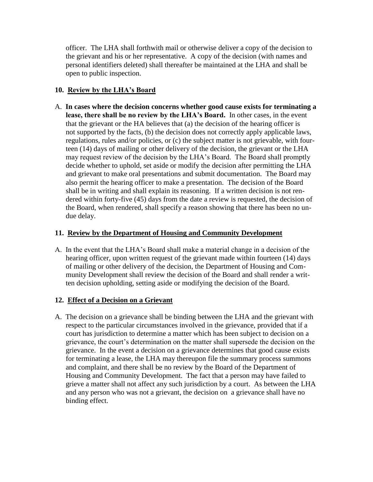officer. The LHA shall forthwith mail or otherwise deliver a copy of the decision to the grievant and his or her representative. A copy of the decision (with names and personal identifiers deleted) shall thereafter be maintained at the LHA and shall be open to public inspection.

#### **10. Review by the LHA's Board**

A. **In cases where the decision concerns whether good cause exists for terminating a lease, there shall be no review by the LHA's Board.** In other cases, in the event that the grievant or the HA believes that (a) the decision of the hearing officer is not supported by the facts, (b) the decision does not correctly apply applicable laws, regulations, rules and/or policies, or (c) the subject matter is not grievable, with fourteen (14) days of mailing or other delivery of the decision, the grievant or the LHA may request review of the decision by the LHA's Board. The Board shall promptly decide whether to uphold, set aside or modify the decision after permitting the LHA and grievant to make oral presentations and submit documentation. The Board may also permit the hearing officer to make a presentation. The decision of the Board shall be in writing and shall explain its reasoning. If a written decision is not rendered within forty-five (45) days from the date a review is requested, the decision of the Board, when rendered, shall specify a reason showing that there has been no undue delay.

#### **11. Review by the Department of Housing and Community Development**

A. In the event that the LHA's Board shall make a material change in a decision of the hearing officer, upon written request of the grievant made within fourteen (14) days of mailing or other delivery of the decision, the Department of Housing and Community Development shall review the decision of the Board and shall render a written decision upholding, setting aside or modifying the decision of the Board.

# **12. Effect of a Decision on a Grievant**

A. The decision on a grievance shall be binding between the LHA and the grievant with respect to the particular circumstances involved in the grievance, provided that if a court has jurisdiction to determine a matter which has been subject to decision on a grievance, the court's determination on the matter shall supersede the decision on the grievance. In the event a decision on a grievance determines that good cause exists for terminating a lease, the LHA may thereupon file the summary process summons and complaint, and there shall be no review by the Board of the Department of Housing and Community Development. The fact that a person may have failed to grieve a matter shall not affect any such jurisdiction by a court. As between the LHA and any person who was not a grievant, the decision on a grievance shall have no binding effect.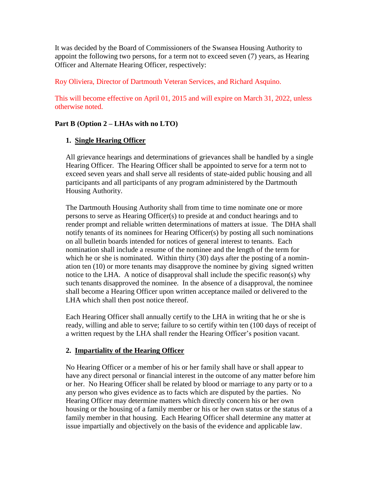It was decided by the Board of Commissioners of the Swansea Housing Authority to appoint the following two persons, for a term not to exceed seven (7) years, as Hearing Officer and Alternate Hearing Officer, respectively:

Roy Oliviera, Director of Dartmouth Veteran Services, and Richard Asquino.

This will become effective on April 01, 2015 and will expire on March 31, 2022, unless otherwise noted.

# **Part B (Option 2 – LHAs with no LTO)**

# **1. Single Hearing Officer**

All grievance hearings and determinations of grievances shall be handled by a single Hearing Officer. The Hearing Officer shall be appointed to serve for a term not to exceed seven years and shall serve all residents of state-aided public housing and all participants and all participants of any program administered by the Dartmouth Housing Authority.

The Dartmouth Housing Authority shall from time to time nominate one or more persons to serve as Hearing Officer(s) to preside at and conduct hearings and to render prompt and reliable written determinations of matters at issue. The DHA shall notify tenants of its nominees for Hearing Officer(s) by posting all such nominations on all bulletin boards intended for notices of general interest to tenants. Each nomination shall include a resume of the nominee and the length of the term for which he or she is nominated. Within thirty (30) days after the posting of a nomination ten (10) or more tenants may disapprove the nominee by giving signed written notice to the LHA. A notice of disapproval shall include the specific reason(s) why such tenants disapproved the nominee. In the absence of a disapproval, the nominee shall become a Hearing Officer upon written acceptance mailed or delivered to the LHA which shall then post notice thereof.

Each Hearing Officer shall annually certify to the LHA in writing that he or she is ready, willing and able to serve; failure to so certify within ten (100 days of receipt of a written request by the LHA shall render the Hearing Officer's position vacant.

# **2. Impartiality of the Hearing Officer**

No Hearing Officer or a member of his or her family shall have or shall appear to have any direct personal or financial interest in the outcome of any matter before him or her. No Hearing Officer shall be related by blood or marriage to any party or to a any person who gives evidence as to facts which are disputed by the parties. No Hearing Officer may determine matters which directly concern his or her own housing or the housing of a family member or his or her own status or the status of a family member in that housing. Each Hearing Officer shall determine any matter at issue impartially and objectively on the basis of the evidence and applicable law.